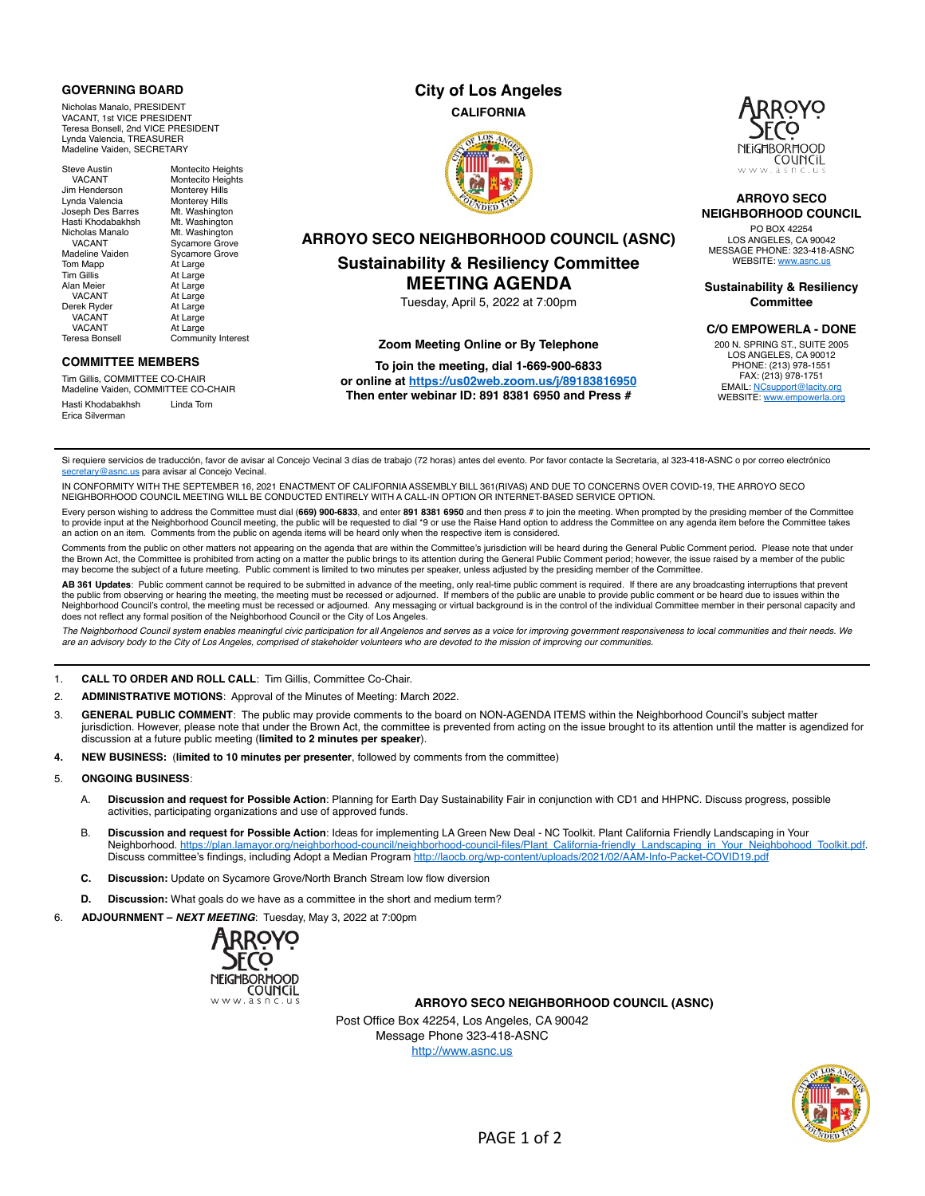### **GOVERNING BOARD**

Nicholas Manalo, PRESIDENT VACANT, 1st VICE PRESIDENT Teresa Bonsell, 2nd VICE PRESIDENT Lynda Valencia, TREASURER Madeline Vaiden, SECRETARY

Steve Austin Montecito Heights<br>
VACANT Montecito Heights Montecito Heights<br>Monterey Hills Jim Henderson Monterey Hills Lynda Valencia **Monterey Hills**<br>Joseph Des Barres Mt. Washington Joseph Des Barres<br>Hasti Khodabakhsh Mt. Washington<br>Mt. Washington Nicholas Manalo<br>VACANT VACANT Sycamore Grove<br>Madeline Vaiden Sycamore Grove Sycamore Grove<br>At Large Tom Mapp<br>Tim Gillis Tim Gillis<br>Alan Meier At Large<br>At Large Alan Meier At Large At Large<br>At Large Derek Ryder<br>VACANT VACANT At Large<br>VACANT At Large VACANT At Large<br>Teresa Bonsell Commur Community Interest

## **COMMITTEE MEMBERS**

Tim Gillis, COMMITTEE CO-CHAIR Madeline Vaiden, COMMITTEE CO-CHAIR Hasti Khodabakhsh Linda Torn Erica Silverman

# **City of Los Angeles**

**CALIFORNIA**





## **ARROYO SECO NEIGHBORHOOD COUNCIL**

PO BOX 42254 LOS ANGELES, CA 90042 MESSAGE PHONE: 323-418-ASNC WEBSITE: [www.asnc.us](http://www.asnc.us/)

**Sustainability & Resiliency Committee** 

## **C/O EMPOWERLA - DONE**

200 N. SPRING ST., SUITE 2005 LOS ANGELES, CA 90012 PHONE: (213) 978-1551 FAX: (213) 978-1751 EMAIL: [NCsupport@lacity.org](mailto:NCsupport@lacity.org) WEBSITE: [www.empowerla.org](http://www.empowerla.org/)

**ARROYO SECO NEIGHBORHOOD COUNCIL (ASNC)**

# **Sustainability & Resiliency Committee MEETING AGENDA**

Tuesday, April 5, 2022 at 7:00pm

#### **Zoom Meeting Online or By Telephone**

**To join the meeting, dial 1-669-900-6833** 

**or online at <https://us02web.zoom.us/j/89183816950> Then enter webinar ID: 891 8381 6950 and Press #**

Si requiere servicios de traducción, favor de avisar al Concejo Vecinal 3 días de trabajo (72 horas) antes del evento. Por favor contacte la Secretaria, al 323-418-ASNC o por correo electrónico tary@asnc.us para avisar al Concejo Vecinal

IN CONFORMITY WITH THE SEPTEMBER 16, 2021 ENACTMENT OF CALIFORNIA ASSEMBLY BILL 361(RIVAS) AND DUE TO CONCERNS OVER COVID-19, THE ARROYO SECO NEIGHBORHOOD COUNCIL MEETING WILL BE CONDUCTED ENTIRELY WITH A CALL-IN OPTION OR INTERNET-BASED SERVICE OPTION.

Every person wishing to address the Committee must dial (**669) 900-6833**, and enter **891 8381 6950** and then press # to join the meeting. When prompted by the presiding member of the Committee<br>to provide input at the Neigh an action on an item. Comments from the public on agenda items will be heard only when the respective item is considered.

Comments from the public on other matters not appearing on the agenda that are within the Committee's jurisdiction will be heard during the General Public Comment period. Please note that under the Brown Act, the Committee is prohibited from acting on a matter the public brings to its attention during the General Public Comment period; however, the issue raised by a member of the public may become the subject of a future meeting. Public comment is limited to two minutes per speaker, unless adjusted by the presiding member of the Committee.

**AB 361 Updates**: Public comment cannot be required to be submitted in advance of the meeting, only real-time public comment is required. If there are any broadcasting interruptions that prevent<br>the public from observing o Neighborhood Council's control, the meeting must be recessed or adjourned. Any messaging or virtual background is in the control of the individual Committee member in their personal capacity and does not reflect any formal position of the Neighborhood Council or the City of Los Angeles.

*The Neighborhood Council system enables meaningful civic participation for all Angelenos and serves as a voice for improving government responsiveness to local communities and their needs. We are an advisory body to the City of Los Angeles, comprised of stakeholder volunteers who are devoted to the mission of improving our communities.*

1. **CALL TO ORDER AND ROLL CALL**: Tim Gillis, Committee Co-Chair.

2. **ADMINISTRATIVE MOTIONS**: Approval of the Minutes of Meeting: March 2022.

- 3. **GENERAL PUBLIC COMMENT**: The public may provide comments to the board on NON-AGENDA ITEMS within the Neighborhood Council's subject matter jurisdiction. However, please note that under the Brown Act, the committee is prevented from acting on the issue brought to its attention until the matter is agendized for discussion at a future public meeting (**limited to 2 minutes per speaker**).
- **4. NEW BUSINESS:** (**limited to 10 minutes per presenter**, followed by comments from the committee)
- 5. **ONGOING BUSINESS**:
	- A. **Discussion and request for Possible Action**: Planning for Earth Day Sustainability Fair in conjunction with CD1 and HHPNC. Discuss progress, possible activities, participating organizations and use of approved funds.
	- B. **Discussion and request for Possible Action**: Ideas for implementing LA Green New Deal NC Toolkit. Plant California Friendly Landscaping in Your Neighborhood. [https://plan.lamayor.org/neighborhood-council/neighborhood-council-files/Plant\\_California-friendly\\_Landscaping\\_in\\_Your\\_Neighbohood\\_Toolkit.pdf.](https://plan.lamayor.org/neighborhood-council/neighborhood-council-files/Plant_California-friendly_Landscaping_in_Your_Neighbohood_Toolkit.pdf) Discuss committee's findings, including Adopt a Median Program<http://laocb.org/wp-content/uploads/2021/02/AAM-Info-Packet-COVID19.pdf>
	- **C. Discussion:** Update on Sycamore Grove/North Branch Stream low flow diversion
	- **D. Discussion:** What goals do we have as a committee in the short and medium term?
- 6. **ADJOURNMENT** *NEXT MEETING*: Tuesday, May 3, 2022 at 7:00pm



**ARROYO SECO NEIGHBORHOOD COUNCIL (ASNC)**

Post Office Box 42254, Los Angeles, CA 90042 Message Phone 323-418-ASNC <http://www.asnc.us>